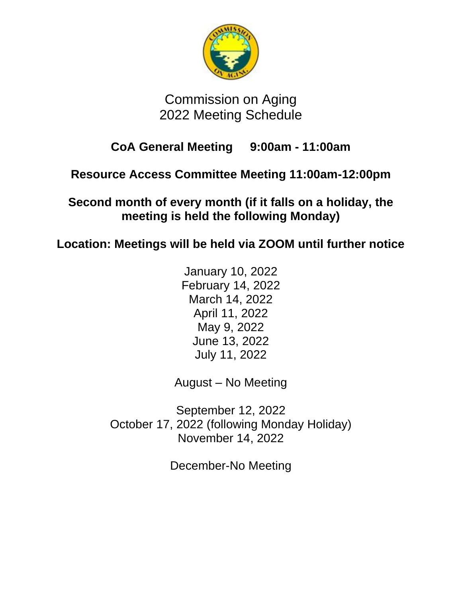

# Commission on Aging 2022 Meeting Schedule

## **CoA General Meeting 9:00am - 11:00am**

## **Resource Access Committee Meeting 11:00am-12:00pm**

**Second month of every month (if it falls on a holiday, the meeting is held the following Monday)**

**Location: Meetings will be held via ZOOM until further notice**

January 10, 2022 February 14, 2022 March 14, 2022 April 11, 2022 May 9, 2022 June 13, 2022 July 11, 2022

August – No Meeting

September 12, 2022 October 17, 2022 (following Monday Holiday) November 14, 2022

December-No Meeting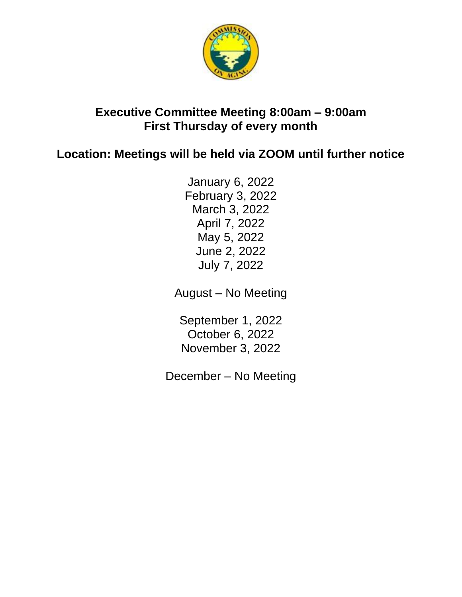

#### **Executive Committee Meeting 8:00am – 9:00am First Thursday of every month**

### **Location: Meetings will be held via ZOOM until further notice**

January 6, 2022 February 3, 2022 March 3, 2022 April 7, 2022 May 5, 2022 June 2, 2022 July 7, 2022

August – No Meeting

September 1, 2022 October 6, 2022 November 3, 2022

December – No Meeting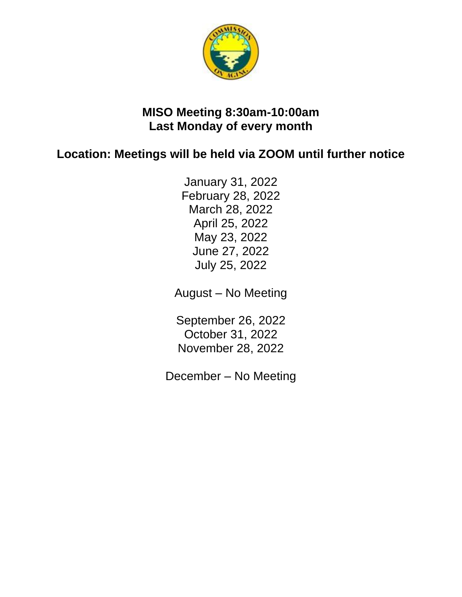

#### **MISO Meeting 8:30am-10:00am Last Monday of every month**

## **Location: Meetings will be held via ZOOM until further notice**

January 31, 2022 February 28, 2022 March 28, 2022 April 25, 2022 May 23, 2022 June 27, 2022 July 25, 2022

August – No Meeting

September 26, 2022 October 31, 2022 November 28, 2022

December – No Meeting